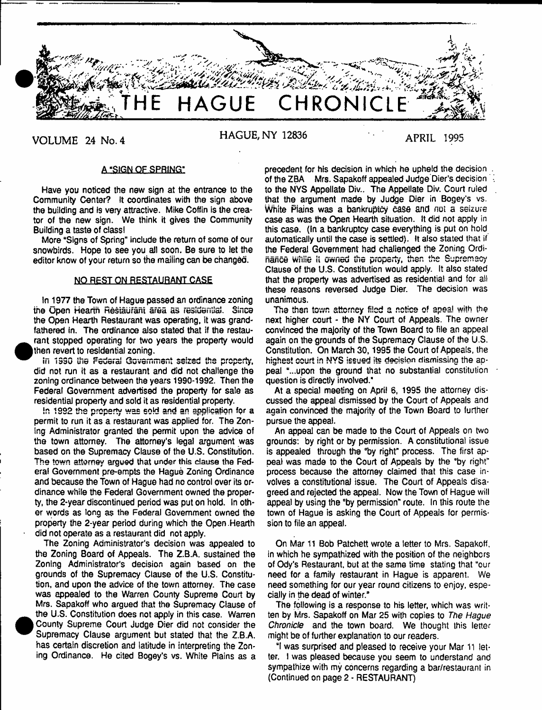

VOLUME 24 No. 4 **HAGUE, NY 12836** APRIL 1995

# A "SIGN QF SPRING"

Have you noticed the new sign at the entrance to the Community Center? It coordinates with the sign above the building and is very attractive. Mike Coffin is the creator of the new sign. We think it gives the Community Building a taste of class!

More "Signs of Spring" include the return of some of our snowbirds. Hope to see you all soon. Be sure to let the editor know of your return so the maiiing can be changed.

# NO REST ON RESTAURANT CASE

In 1977 the Town of Hague passed an ordinance zoning the Upen Hearth Restaurant area as residential. Since the Open Hearth Restaurant was operating, it was grandfathered in. The ordinance also stated that if the restaurant stopped operating for two years the property would then revert to residential zoning.

in 1990 the Federal Government seized the property, did not run it as a restaurant and did not challenge the zoning ordinance between the years 1990-1992. Then the Federal Government advertised the property for sale as residential property and sold it as residential property.

In 1992 the property was sold and an application for a permit to run it as a restaurant was applied for. The Zoning Administrator granted the permit upon the advice of the town attorney. The attorney's legal argument was based on the Supremacy Clause of the U.S. Constitution. The town attorney argued that under this clause the Federal Government pre-empts the Hague Zoning Ordinance and because the Town of Hague had no control over its ordinance while the Federal Government owned the property, the 2-year discontinued period was put on hold. In other words as long as the Federal Government owned the property the 2-year period during which the Open.Hearth did not operate as a restaurant did not apply.

The Zoning Administrator's decision was appealed to the Zoning Board of Appeals. The Z.B.A. sustained the Zoning Administrator's decision again based on the grounds of the Supremacy Clause of the U.S. Constitution, and upon the advice of the town attorney. The case was appealed to the Warren County Supreme Court by Mrs. Sapakoff who argued that the Supremacy Clause of the U.S. Constitution does not apply in this case. Warren County Supreme Court Judge Dier did not consider the Supremacy Clause argument but stated that the Z.B.A. has certain discretion and latitude in interpreting the Zoning Ordinance. He cited Bogey's vs. White Plains as a

precedent for his decision in which he upheld the decision . of the ZBA Mrs. Sapakoff appealed Judge Dier's decision to the NYS Appellate Div.. The Appellate Div. Court ruled that the argument made by Judge Dier in Bogey's vs. White Plains was a bankruptcy case and not a seizure case as was the Open Hearth situation. It did not apply in this case. (In a bankruptcy case everything is put on hold automatically until the case is settled). It also stated that if the Federal Government had challenged the Zoning Ordinance while ii owned the property, then the Supremacy Clause of the U.S. Constitution would apply. It also stated that the property was advertised as residential and for ail these reasons reversed Judge Dier. The decision was unanimous.

The then town attorney filed a notice of apea! with the next higher court - the NY Court of Appeals. The owner convinced the majority of the Town Board to file an appeal again on the grounds of the Supremacy Clause of the U.S. Constitution. On March 30,1995 the Court of Appeals, the highest court in NYS issued its decision dismissing the appeal "...upon the ground that no substantial constitution question is directly involved."

At a special meeting on April 6, 1995 the attorney discussed the appeal dismissed by the Court of Appeals and again convinced the majority of the Town Board to further pursue the appeal.

An appeal can be made to the Court of Appeals on two grounds: by right or by permission. A constitutional issue is appealed through the "by right" process. The first appeal was made to the Court of Appeals by the "by right" process because the attorney claimed that this case involves a constitutional issue. The Court of Appeals disagreed and rejected the appeal. Now the Town of Hague will appeal by using the "by permission" route. In this route the town of Hague is asking the Court of Appeals for permission to file an appeal.

On Mar 11 Bob Patchett wrote a letter to Mrs. Sapakoff, in which he sympathized with the position of the neighbors of Ody's Restaurant, but at the same time stating that "our need for a family restaurant in Hague is apparent. We need something for our year round citizens to enjoy, especially in the dead of winter."

The following is a response to his letter, which was written by Mrs. Sapakoff on Mar 25 with copies to *The Hague Chronicle* and the town board. We thought this letter might be of further explanation to our readers.

"I was surprised and pleased to receive your Mar 11 letter. I was pleased because you seem to understand and sympathize with my concerns regarding a bar/restaurant in (Continued on page 2 - RESTAURANT)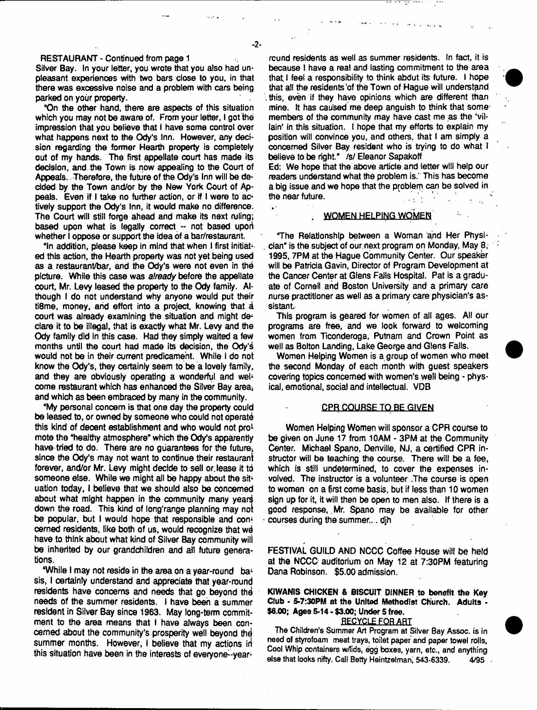# RESTAURANT - Continued from page 1

Silver Bay. In your letter, you wrote that you also had unpleasant experiences with two bars close to you, in that there was excessive noise and a problem with cars being parked on your property.

"On the other hand, there are aspects of this situation which you may not be aware of. From your letter, I got the impression that you believe that I have some control over what happens next to the Ody's Inn. However, any decision regarding the former Hearth property is completely out of my hands. The first appellate court has made its decision, and the Town is now appealing to the Court of Appeals. Therefore, the future of the Ody's Inn will be decided by the Town and/or by the New York Court of Appeals. Even if I take no further action, or if I were to actively support the Ody's Inn, it would make no difference. The Court will stilt forge ahead and make its next ruling; based upon what is legally correct -- not based upori whether I oppose or support the idea of a bar/restaurant.

"In addition, please keep in mind that when I first initiated this action, the Hearth property was not yet being used as a restaurant/bar, and the Ody's were not even in thd picture. While this case was *already* before the appellate court, Mr. Levy leased the property to the Ody family. Although I do not understand why anyone would put their ti8me, money, and effort into a project, knowing that a court was already examining the situation and might declare it to be illegal, that is exactly what Mr. Levy and the Ody family did In this case. Had they simply waited a few months until the court had made its decision, the Ody's would not be in their current predicament. While I do not know the Ody's, they certainly seem to be a lovely family, and they are obviously operating a wonderful and well come restaurant which has enhanced the Silver Bay area, and which as been embraced by many in the community.

"My personal concern is that one day the property could be leased to, or owned by someone who could not operate this kind of decent establishment and who would not pro<sup>1</sup> mote the "healthy atmosphere" which the Ody's apparently have tried to do. There are no guarantees for the future, since the Ody's may not want to continue their restaurant forever, and/or Mr. Levy might decide to sell or. lease it tb someone else. While we might all be happy about the situation today, I believe that we should also be concerned about what might happen in the community many years down the road. This kind of long'range planning may not be popular, but I would hope that responsible and con<sup>1</sup> cerned residents, like both of us, would recognize that we have to think about what kind of Silver Bay community will be inherited by our grandchildren and all future generations.

"While I may not reside in the area on a year-round ba<sup>1</sup> sis, I certainty understand and appreciate that year-round residents have concerns and needs that go beyond the needs of the summer residents. I have been a summer resident in Silver Bay since 1963. May long-term commitment to the area means that I have always been concerned about the community's prosperity well beyond thd summer months. However, I believe that my actions in this situation have been in the interests of everyone--year-

rcund residents as well as summer residents. In fact, it is because 1 have a real and lasting commitment to the area that I feel a responsibility to think abdut its future. I hope that all the residents of the Town of Hague will understand this, even if they have opinions which are different than mine. It has caused me deep anguish to think that some members of the community may have cast me as the 'villain' in this situation. I hope that my efforts to explain my position will convince you, and others, that I am simply a concerned Silver Bay resident who is trying to do what I believe to be right." /s/ Eleanor Sapakoff

Ed: We hope that the above article and tetter will help our readers understand what the problem is.' This has become a big issue and we hope that the problem can be solved in the near future.

#### . WOMEN HELPING WOMEN

The Relationship between a Woman and Her Physician" is the subject of our.next program on Monday, May 8, 1995,7PM at the Hague Community Center. Our speaker will be Patricia Gavin, Director of Program Development at the Cancer Center at Gfens FaJIs Hospital. Pat is a graduate of Cornell and Boston University and a primary care nurse practitioner as well as a primary care physician's assistant.

This program is geared for women of all ages. Ail our programs are free, and we look forward to welcoming women from Ticonderoga, Putnam and Crown Point as well as Botton Landing, Lake George and Glens Falls.

Women Helping Women is a group of women who meet the second Monday of each month with guest speakers covering topics concerned with women's well being - physical, emotional, social and intellectual. VDB

# CPR COURSE TO BE GIVEN

Women Helping Women will sponsor a CPR course to be given on June 17 from 10AM - 3PM at the Community Center. Michael Spano, Denville, NJ, a certified CPR instructor will be teaching the course. There will be a fee, which is still undetermined, to cover the expenses involved. The instructor is a volunteer .The course is open to women on a first come basis, but if less than 10 women sign up for it, it will then be open to men also. If there is a good response, Mr. Spano may be available for other courses during the summer... djh

FESTIVAL GUILD AND NCCC Coffee House will be hetd at the NCCC auditorium on May 12 at 7:30PM featuring Dana Robinson. \$5.00 admission.

KIWANIS CHICKEN & BISCUIT DINNER to benefit the Key Club - 5-7:30PM at the United Methodist Church. Adults - \$6.00; Ages 5-14 - \$3.00; Under 5 free.

# **RECYCLE FOR ART**

**The Children's Summer Art Program at Silver Bay Assoc, is in need of styrofoam meat trays, toilet paper and paper towel rolls, Cool Whip containers w/!ids, egg boxes, yarn, etc., and anything else that looks nifty. Call Betty Heintzelmani 543-6339. 4/9S**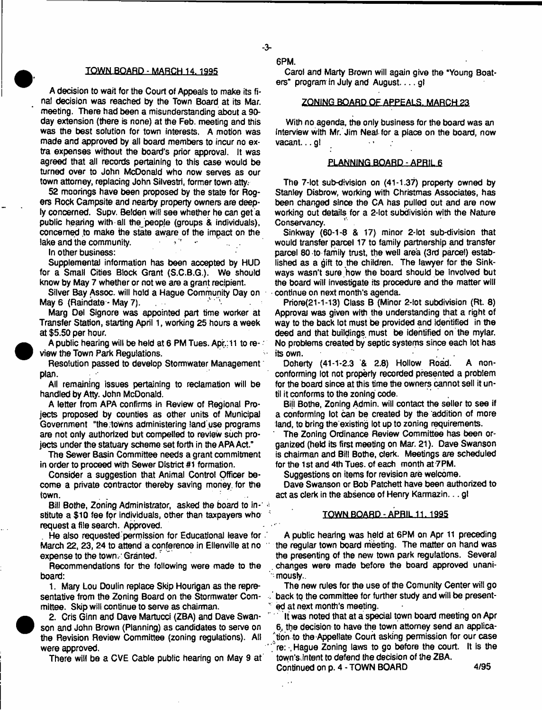$-3-$ 

#### TQWN-BOARD - MARCH 14.1995

A decision to wait for the Court of Appeals to make its final decision was reached by the Town Board at its Mar. meeting. There had been a misunderstanding about a 90 day extension (there is none) at the Feb. meeting and this was the best solution for town interests. A motion was made and approved by all board members to incur no extra expenses without the board's prior approval. It was agreed that all records pertaining to this case would be turned over to John McDonald who now serves as our town attorney, replacing John Silvestri, former town atty.

52 moorings have been proposed by the state for Rogers Rock Campsite and nearby property owners are deeply concerned. Supv. Belden will see whether he can get a public hearing with all the people (groups & individuals), concerned to make the state aware of the impact on the lake and the community.

In other business:

Supplemental information has been accepted by HUD for a Small Cities Block Grant (S.C.B.G.). We should know by May 7 whether or not we are a grant recipient.

Silver Bay Assoc, will hold a Hague Community Day on May 6 (Raindate - May 7).

Marg Del Signore was appointed part time worker at Transfer Station, starting April 1, working 25 hours a week at \$5.50 per hour.

A public hearing will be held at 6 PM Tues. Apr.: 11 to review the Town Park Regulations.

Resolution passed to develop Stormwater Management plan.

All remaining issues pertaining to reclamation will be handled by Atty. John McDonald.

A letter from APA confirms in Review of Regional Projects proposed by counties as other units of Municipal Government °the;towns administering land use programs are not only authorized but compelled to review such projects under the statuary scheme set forth in the APA Act."

The Sewer Basin Committee needs a grant commitment in order to proceed with Sewer District #1 formation.

Consider a suggestion that Animal Control Officer become a private contractor thereby saving money, for the town.

Bill Bothe, Zoning Administrator, asked the board to in-1.4 stitute a \$10 fee for individuals, other than taxpayers who request a file search. Approved.

He also requested permission for Educational leave for . March 22, 23, 24 to attend a conference in Ellenville at no expense to the town. Granted.

Recommendations for the following were made to the board:

1. Mary Lou Doulin replace Skip Hourigan as the representative from the Zoning Board on the Stormwater Committee. Skip will continue to serve as chairman.



2. Cris Ginn and Dave Martucci (ZBA) and Dave Swanson and John Brown (Planning) as candidates to serve on the Revision Review Committee (zoning regulations). All were approved.

There will be a CVE Cable public hearing on May 9 at

6PM.

Carol and Marty Brown will again give the 'Young Boaters" program in July and August  $\dots$  gl

#### ZONING BOARD OF APPEALS. MARCH 23

With no agenda, the only business for the board was an Interview with Mr. Jim Neal-for a place on the board, now vacant... gl  $\ddot{\phantom{1}}$ 

#### PLANNING BOARD-APRIL 6

The 7-lot sub-division on (41-1.37) property owned by Stanley Disbrow, working with Christmas Associates, has been changed since the CA has pulled out and are now working out details for a 2-lot subdivision with the Nature Conservancy.

Sinkway (60-1-8 & 17) minor 2-lot sub-division that would transfer parcel 17 to family partnership and transfer parcel 80-to family trust, the well area (3rd parcel) established as a gift to the children. The lawyer for the Sinkways wasn't sure, how the board should be involved but the board will investigate its procedure and the matter will continue on next month's agenda.

Priore(21-1-13) Class B (Minor 2-lot subdivision (Rt. 8) Approval was given with the understanding that a right of way to the back lot must be provided and identified in the deed and that buildings must be identified on the mylar. No problems created by septic systems since each lot has its own.

Doherty (41-1-2.3 & 2.8) Hollow Road. A nonconforming lot not property recorded presented a problem for the board since at this time the owners cannot sell it until it conforms to the zoning code.

Bill Bothe, Zoning Admin, will contact the seller to see if a conforming lot can be created by the addition of more land, to bring the existing lot up to zoning requirements.

' The Zoning Ordinance Review Committee has been organized (held its first meeting on Mar. 21). Dave Swanson is chairman and Bill Bothe, clerk. Meetings are scheduled for the 1st and 4th Tues. of each month at 7PM.

Suggestions on items for revision are welcome.

Dave Swanson or Bob Patchett have been authorized to act as clerk in the absence of Henry Karmazin... gl

#### TOWN BOARD - APRIL 11.1995

A public hearing was held at 6PM on Apr 11 preceding ' the regular town board meeting. The matter on hand was the presenting of the new town park regulations. Several changes were made before the board approved unani- "-mously..

The new rules for the use of the Comunity Center will go back to the committee for further study and will be present ed at next month's meeting.

It was noted that at a special town board meeting on Apr 6, the decision to have the town attorney send an applica- 'tion to the-Appellate Court asking permission for our case re: Hague Zoning laws to go before the court. It is the town's Jntent to defend the decision of the ZBA.

Continued on p. 4 - TOWN BOARD 4/95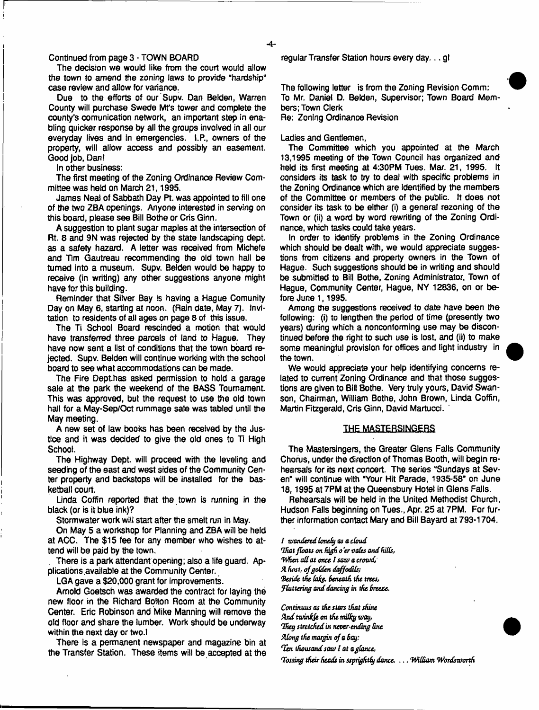#### Continued from page 3 • TOWN BOARD

The decision we would like from the court would allow the town to amend the zoning laws to provide "hardship" case review and allow for variance.

Due to the efforts of our Supv. Dan Belden, Warren County will purchase Swede Mrs tower and complete the county's comunication network, an important step in enabling quicker response by all the groups involved in all our everyday lives and in emergencies. I.P., owners of the property, will allow access and possibly an easement. Good job, Dan!

In other business:

The first meeting of the Zoning Ordinance Review Committee was held on March 21,1995.

James Neal of Sabbath Day Pt. was appointed to fill one of the two ZBA openings. Anyone interested in serving on this board, please see Bill Bothe or Cris Ginn.

A suggestion to plant sugar maples at the intersection of Rt. 8 and 9N was rejected by the state landscaping dept, as a safety hazard. A letter was received from Michele and Tim Gautreau recommending the old town hail be turned into a museum. Supv. Belden would be happy to receive (in writing) any other suggestions anyone might have for this building.

Reminder that Silver Bay is having a Hague Comunity Day on May 6, starting at noon. (Rain date, May 7). Invitation to residents of all ages on page 8 of this issue.

The Ti School Board rescinded a motion that would have transferred three parcels of land to Hague. They have now sent a list of conditions that the town board rejected. Supv. Belden will continue working with the school board to see what accommodations can be made.

The Fire Dept.has asked permission to hold a garage sale at the park the weekend of the BASS Tournament This was approved, but the request to use the old town hall for a May-Sep/Oct rummage sale was tabled until the May meeting.

A new set of law books has been received by the Justice and it was decided to give the old ones to  $T<sub>i</sub>$  High School.

The Highway Dept, will proceed with the leveling and seeding of the east and west sides of the Community Center property and backstops wiil be installed for the basketball court.

Linda Coffin reported that the town is running in the black (or is it blue ink)?

Stormwater work will start after the smelt run in May.

On May 5 a workshop for Planning and ZBA will be held at ACC. The \$15 fee for any member who wishes to attend will be paid by the town.

. There is a park attendant opening; also a life guard. Applications.available at the Community Center.

LGA gave a \$20,000 grant for improvements.

Arnold Goetsch was awarded the contract for laying the new floor in the Richard Bolton Room at the Community Center. Eric Robinson and Mike Manning will remove the old floor and share the lumber. Work should be underway within the next day or two.l

There is a permanent newspaper and magazine bin at the Transfer Station. These items will be accepted at the regular Transfer Station hours every day... gl

The following letter is from the Zoning Revision Comm: To Mr. Daniel D. Belden, Supervisor; Town Board Members; Town Clerk

Re: Zoning Ordinance Revision

Ladies and Gentlemen,

The Committee which you appointed at the March 13.1995 meeting of the Town Council has organized and held its first meeting at 4:30PM Tues. Mar. 21, 1995. It considers its task to try to deal with specific problems in the Zoning Ordinance which are Identified by the members of the Committee or members of the public. It does not consider its task to be either (i) a general rezoning of the Town or (ii) a word by word rewriting of the Zoning Ordinance, which tasks could take years.

In order to Identify problems in the Zoning Ordinance which should be dealt with, we would appreciate suggestions from citizens and properly owners in the Town of Hague. Such suggestions should be in writing and should be submitted to Bill Bothe, Zoning Administrator, Town of Hague, Community Center, Hague, NY 12836, on or before June 1,1995.

Among the suggestions received to date have been the following: (i) to lengthen the period of time (presently two years) during which a nonconforming use may be discontinued before the right to such use is lost, and (ii) to make some meaningful provision for offices and light industry in the town.

We would appreciate your help identifying concerns related to current Zoning Ordinance and that those suggestions are given to Bill Bothe. Very truly yours, David Swanson, Chairman, William Bothe, John Brown, Linda Coffin, Martin Fitzgerald, Cris Ginn, David Martucci. '

# **THE MASIERSINGER5**

The Mastersingers, the Greater Glens Falls Community Chorus, under the direction of Thomas Booth, will begin rehearsals for its next concert. The series "Sundays at Seven" will continue with "Your Hit Parade, 1935-58" on June 18.1995 at 7PM at the Queensbury Hotel in Glens Falls.

Rehearsals will be held in the United Methodist Church, Hudson Falls beginning on Tues., Apr. 25 at 7PM. For further information contact Mary and Bill Bayard at 793-1704.

/ *wandered lonely as a cloud That floats on high o'er vales andfulls, When all at once I saw a crowd, X host, of golden daffodils; !Beside the (afe Beneath the trees, fluttering and dancing in the Breeze.*

*Continuus as the stars that shine Xnd twintjt on the milky way, They stretched in never-ending One Xiong the margin of a Say:*

*Ten thousand saw I at aglance.*

*Tossing their heads in sspnghthf dance. .. .William Wordsworth*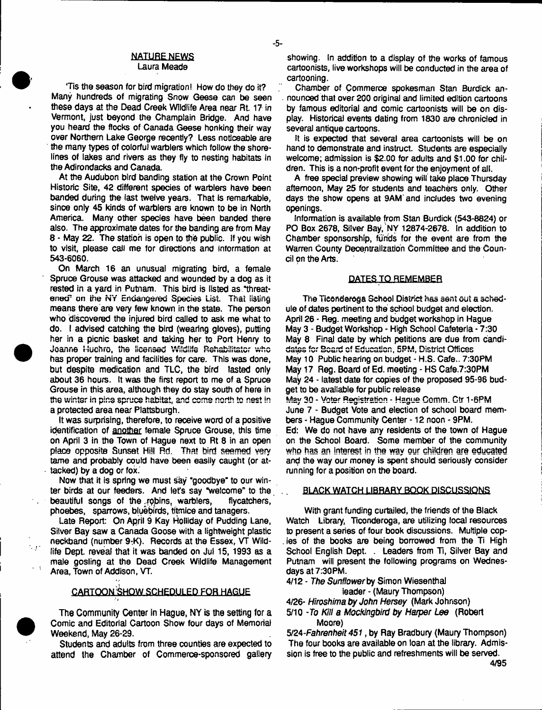# NATURE NEWS

# Laura Meade

'Tis die season for bird migration! How do they do it? Many hundreds of migrating Snow Geese can be seen these days at the Dead Creek Wildlife Area near Rt 17 in Vermont, just beyond the Champlain Bridge. And have you heard the flocks of Canada Geese honking their way over Northern Lake George recently? Less noticeable are the many types of colorful warblers which follow the shorelines of lakes and rivers as they fly to nesting habitats in the Adirondacks and Canada.

At the Audubon bird banding station at the Crown Point Historic Site, 42 different species of warblers have been banded during the last twelve years. That is remarkable, since only 45 kinds of warblers are known to be in North America. Many other species have been banded there also. The approximate dates for the banding are from May 8 - May 22. The station is open to the public. If you wish to visit, please caii me for directions and information at 543-6060.

On March 16 an unusual migrating bird, a female Spruce Grouse was attacked and wounded by a dog as it rested in a vard in Putnam. This bird is listed as "threatened<sup>e</sup> on the NY Endangered Species List. That listing means there are very few known in the state. The person who discovered the injured bird called to ask me what to do. I advised catching the bird (wearing gloves), putting her in a picnic basket and taking her to Port Henry to Joanne Huchro, the licensed Wildlife Rehabilitator who has proper training and facilities for care. This was done, but despite medication and TLC, the bird lasted only about 36 hours. It was the first report to me of a Spruce Grouse in this area, although they do stay south of here in the winter in pine spruce habitat, and come north to nest in a protected area near Plattsburgh.

It was surprising, therefore, to receive word of a positive identification of another female Spruce Grouse, this time on April 3 in the Town of Hague next to Rt 8 in an open place opposite Sunset Hill Rd. That bird seemed very tame and probably coutd have been easily caught (or attacked) by a dog or fox.

Now that it is spring we must say "goodbye' to our winter birds at our feeders. And let's say "welcome" to the beautiful songs of the robins, warblers, flycatchers, phoebes, sparrows, bluebirds, titmice and tanagers.

Late Report: On April 9 Kay Holliday of Pudding Lane, Silver Bay saw a Canada Goose with a lightweight plastic neckband (number 9:K). Records at the Essex, VT Wildfife Dept reveal that it was banded on Jul 15, 1993 as a male gosling at the Dead Creek Wildlife Management Area, Town of Addison, VT.

# CARTOON SHOW SCHEDULED FOR HAGUE

The Community Center in Hague, NY is the setting for a Comic and Editorial Cartoon Show four days of Memorial Weekend, May 26-29.

Students and adults from three counties are expected to attend the Chamber of Commerce-sponsored gallery showing. In addition to a display of the works of famous cartoonists, live workshops will be conducted in the area of cartooning.

Chamber of Commerce spokesman Stan Burdick an- . nounced that over 200 original and limited edition cartoons by famous editorial and comic cartoonists will be on display. Historical events dating from 1830 are chronicled in several antique cartoons.

It is expected that several area cartoonists will be on hand to demonstrate and instruct. Students are especially welcome: admission is \$2.00 for adults and \$1.00 for children. This is a non-profit event for the enjoyment of all.

A free special preview showing wilt take place Thursday afternoon, May 25 for students and teachers only. Other days the show opens at 9AM'and includes two evening openings.

Information is available from Stan Burdick (543-8824) or PO Box 2678, Silver Bay, NY 12874-2678. In addition to Chamber sponsorship, fijrids for the event are from the Warren County Decentralization Committee and the Council on the Arts.

#### **DATES TO REMEMBER**

The Ticonderoga School District has sent out a schedule of dates pertinent to the school budget and election. April 26 - Reg. meeting and budget workshop in Hague May 3 - Budget Workshop - High School Cafeteria - 7:30 May 8 Final date by which petitions are due from candidates for Board of Education, 5PM, District Offices May 10 Public hearing on budget - H.S. Cafe.. 7:30PM May 17 Reg. Board of Ed. meeting - HS Cafe.7:30PM May 24 - latest date for copies of the proposed 95-96 budget to be available for public release

May 30 - Voter Registration - Hague Comm. Ctr 1-6PM June 7 - Budget Vote and election of school board members - Hague Community Center -12 noon - 9PM.

Ed; We do not have any residents of the town of Hague on the School Board. Some member of the community who has an interest in the way our children are educated and the way our money is spent should seriously consider running for a position on the board.

### . BLACK WATCH LIBRARY BOOK DISCUSSIONS

With grant funding curtailed, the friends of the Black Watch Library, Ticonderoga, are utilizing local resources to present a series of four book discussions. Multiple cop- . ies of the books are being borrowed from the Ti High School English Dept. . Leaders from Ti, Silver Bay and Putnam will present the following programs on Wednesdays at 7:30PM.

4/12 - *The* Sunflower by Simon Wiesenthal

leader - (Maury Thompson)

4/26- *Hiroshima by John Hersey* (Mark Johnson)

5/10 -*To Kill a Mockingbird by Harper Lee* (Robert Moore)

5/24*-Fahrenheit 451,* by Ray Bradbury (Maury Thompson) The four books are available on loan at the library. Admission is free to the public and refreshments will be served.



t e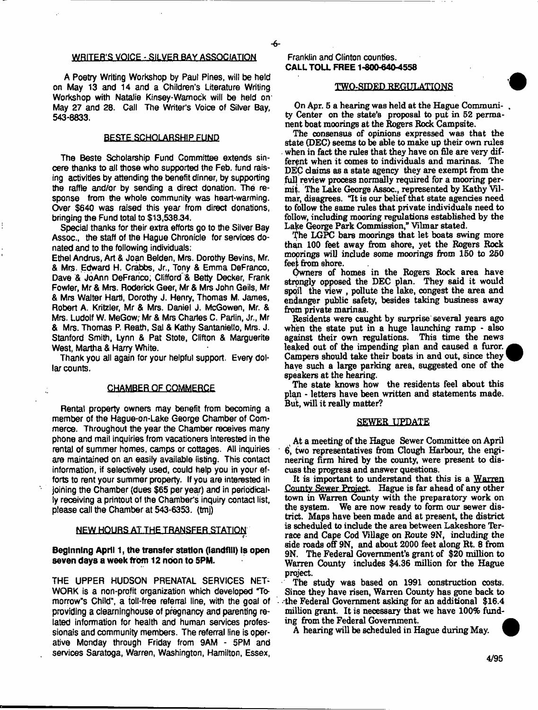# WRITER'S VOICE - SILVER BAY ASSOCIATION

A Poetry Writing Workshop by Paul Pines, will be held on May 13 and 14 and a Children's Literature Writing Workshop with Natalie Kinsey-Wamock will be held on: May 27 and 28. Call The Writer's Voice of Silver Bay, 543-8833.

# **BESTE SCHOLARSHIP FUND**

The Beste Scholarship Fund Committee extends sincere thanks to all those who supported the Feb. fund raising activities by attending the benefit dinner, by supporting the raffle and/or by sending a direct donation. The response from the whole community was heart-warming. Over \$640 was raised this year from direct donations, bringing the Fund total to \$13,538.34.

Special thanks for their extra efforts go to the Silver Bay Assoc., the staff of the Hague Chronicle for services donated and to the following individuals:

Ethel Andrus, Art & Joan Belden, Mrs. Dorothy Bevins, Mr. & Mrs. Edward H. Crabbs, Jr., Tony & Emma DeFranco, Dave & JoAnn DeFranco; Clifford & Betty Decker, Frank Fowler, Mr & Mrs. Roderick Geer, Mr & Mrs John Geils, Mr & Mrs Walter Hartl, Dorothy J. Henry, Thomas M. James, Robert A. Kritzler, Mr & Mrs. Daniel J. McGowen, Mr. & Mrs. Ludolf W. MeGow; Mr & Mrs Charles C. Parlin, Jr., Mr & Mrs. Thomas P. Reath, Sal & Kathy Santaniello, Mrs. J. Stanford Smith, Lynn & Pat Stote, Clifton & Marguerite West, Martha & Harry White.

Thank you all again for your helpful support. Every dollar counts.

# **CHAMBER QF COMMERCE**

Rental property owners may benefit from becoming a member of the Hague-on-Lake George Chamber of Commerce. Throughout the year the Chamber receives many phone and mail inquiries from vacationers interested in the rental of summer homes, camps or cottages. All inquiries are maintained on an easily available fisting. This contact information, if selectively used, could help you in your efforts to rent your summer property. If you are interested in joining the Chamber (dues \$65 per year) and in periodically receiving a printout of the Chamber's inquiry contact list, please call the Chamber at 543-6353. (tmj)

# NEW HOURS AT THE TRANSFER STATION.

# **Beginning April 1, the transfer station (landfill) Is open seven days a week from 12 noon to 5PM.**

THE UPPER HUDSON PRENATAL SERVICES NET-WORK is a non-profit organization which developed Tomorrow's Child", a toll-free referral line, with the goal of providing a clearninghouse of pregnancy and parenting related information for health and human services professionals and community members. The referral line is operative Monday through Friday from 9AM - 5PM and services Saratoga, Warren, Washington, Hamilton, Essex,

#### Franklin and Clinton counties. **CALL TOLL FREE 1-800-640-4558**

#### **TWO-SIDED REGULATIONS**

On Apr. 5 a hearing was held at the Hague Community Center on the state's proposal to put in 52 permanent boat moorings at the Rogers Rock Campsite.

The consensus of opinions expressed was that the state (DEC) seems to be able to make up their own rules when in fact the rules that they have on file are very different when it comes to individuals and marinas. The DEC claims as a state agency they are exempt from the full review process normally required for a mooring permit. The Lake George Assoc., represented by Kathy Vilmar, disagrees. "It is our belief that state agencies need to follow the same rules that private individuals need to follow, including mooring regulations established by the Lake George Park Commission," Vilmar stated.

The LGPC bars moorings that let boats swing more than 100 feet away from shore, yet the Rogers Rock moorings will indude some moorings from 150 to 250 feet from shore.

Owners of homes in the Rogers Rock area have strongly opposed the DEC plan. They said it would spoil the view, pollute the lake, congest the area and endanger public safety, besides taking business away from private marinas.

Residents were caught by surprise several years ago when the state put in a huge launching ramp - also against their own regulations. This time the news against their own regulations. leaked out of the impending plan and caused a furor. Campers should take their boats in and out, since they have such a large parking area, suggested one of the speakers at the hearing.

The state knows how the residents feel about this plan - letters have been written and statements made. But, will it really matter?

#### SEWER UPDATE

At a meeting of the Hague Sewer Committee on April 6, two representatives from Clough Harbour, the engineering firm hired by the county, were present to discuss the progress and answer questions.

It is important to understand that this is a Warren County Sewer Project. Hague is far ahead of any other town in Warren County with the preparatory work on the system. We are now ready to form our sewer district. Maps have been made and at present, the district is scheduled to include the area between Lakeshore Terrace and Cape Cod Village on Route 9N, including the side roads off 9N, and about 2000 feet along Rt. 8 from 9N. The Federal Government's grant of \$20 million to Warren County includes \$4.36 million for the Hague project.

The study was based on 1991 construction costs. Since they have risen, Warren County has gone back to the Federal Government asking for an additional \$16.4 million grant. It is necessary that we have 100% funding from the Federal Government.

A hearing will be scheduled in Hague during May.



4/95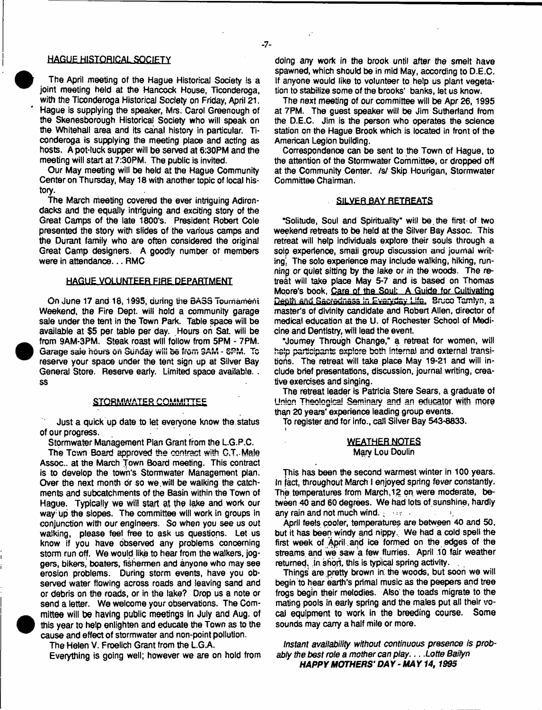#### **HAGUE HISTORICAL SOCIETY**

The April meeting of the Hague Historical Society is a joint meeting held at the Hancock House, Ticonderoga, with the Ticonderoga Historical Society on Friday, April 21. Hague is supplying the speaker, Mrs. Carol Greenough of the Skenesborough Historical Society who will speak on the Whitehall area and its canal history in particular. Ticonderoga is supplying the meeting place and acting as hosts. A pot-tuck supper will be served at 6:30PM and the meeting will start at 7:30PM, The public is invited.

Our May meeting will be held at the Hague Community Center on Thursday, May 18 with another topic of local history.

The March meeting covered the ever intriguing Adirondacks and the equally intriguing and exciting story of the Great Camps of the late 1800's. President Robert Cole presented the story with slides of the various camps and the Durant family who are often considered the original Great Camp designers. A goodly number of members were in attendance... RMC

#### **HAGUE VOLUNTEER FIRE DEPARTMENT**

On June 17 and 18,1995, during the BASS Tournament Weekend, the Fire Dept, will hold a community garage sale under the tent in the Town Park. Table space will be available at \$5 per table per day. Hours on Sat. will be from 9AM-3PM. Steak roast will follow from 5PM - 7PM. Garage saie hours on Sunday will be from 9AM - 6PM. To reserve your space under the tent sign up at Silver Bay General Store. Reserve early. Limited space available. . ss

#### **STORMWATER COMMITTEE**

Just a quick up date to let everyone know the status of our progress.

Stormwater Management Plan Grant from the L.G.P.C.

The Town Board approved the contract with C.T. Male Assoc., at the March Town Board meeting. This contract is to develop the town's Stormwater Management plan. Over the next month dr so we.will be walking the catchments and subcatchments of the Basin within the Town of Hague, Typically we will start at the lake and work our way up the slopes. The committee will work in groups in conjunction with our engineers. So when you see us out walking, please feel free to ask us questions. Let us know if you have observed any problems conoerning storm run off. We would like to hear from the walkers, joggers, bikers, boaters, fishermen and anyone who may see erosion problems. During storm events, have you observed water flowing across roads and leaving sand and or debris on the roads, or in the lake? Drop us a note or send a letter. We welcome your observations. The Com mittee will be having public meetings in July and Aug. of this year to help enlighten and educate the Town as to the cause and effect of stormwater and non-point pollution.

 $\bullet$ 

Everything is going well; however we are on hold from

doing any work in the brook until after the smelt have spawned, which should be in mid May, according to D.E.C. If anyone would like to volunteer to help us plant vegetation to stabilize some of the brooks' banks, let us know.

The next meeting of our committee will be Apr 26, 1995 at 7PM. The guest speaker will be Jim Sutherland from the D.E.C. Jim is the person who operates the science station on the Hague Brook which is located in front of the American Legion building.

Correspondence can be sent to the Town of Hague, to the attention of the Stormwater Committee, or dropped off at the Community Center, /s/ Skip Hourigan, Stormwater Committee Chairman.

#### SILVER BAY RETREATS

'Solitude, Soul and Spirituality" will be.the first-of two weekend retreats to be held at the Silver Bay Assoc. This retreat will help individuals explore their souls through a soio experience, smaii group discussion and journal writing', The solo experience may include walking, hiking, running or quiet sitting by the lake or in the woods. The retreat will take place May 5-7 and is based on Thomas Mopre's book, Care of the Soul: A Guide for Cultivating Depth and Sacredness in Everyday Life. Bruco Tamlyn, a master's of divinity candidate and Robert Allen, director of medical education at the U. of Rochester School of Medicine and Dentistry, will lead the event.

"Journey Through Change," a retreat for women, will help participants explore both internal and externa! transitions. The retreat will take place May 19-21 and will include brief presentations, discussion, journal writing, creative exercises and singing.

The retreat leader is Patricia Stere Sears, a graduate of Union Theological Seminary and an educator with more than 20 years' experience leading group events.

To register and for info., call Silver Bay 543-8833.

*t*

#### WEATHER NOTES Mary Lou Doulin

This has been the second warmest winter in 100 years. In fact, throughout March I enjoyed spring fever constantly. The temperatures from March **.12** on were moderate, between 40 and 60 degrees. We had lots of sunshine, hardly any rain and not much wind.  $\frac{1}{2}$  • • • • •

April feels cooler, temperatures are between 40 and 50, but it has been windy and nippy. We had a cold spell the first week of April ,and ice formed on the edges of the streams and we saw a few flurries. April 10 fair weather returned. In short, this is typical spring activity.

Things are pretty brown in. the woods, but soon we will begin to hear earth's primal music as the peepers and tree frogs begin their melodies. Also' the toads migrate to the mating pools in early spring and the mates put all their vocal equipment to work in the breeding course. Some sounds may carry a half mile or more.

*Instant availability without continuous presence is probably the best role a mother can play*. .. *Lotte Baifyn HAPPY MOTHERS'DAY-MAY 14,1995*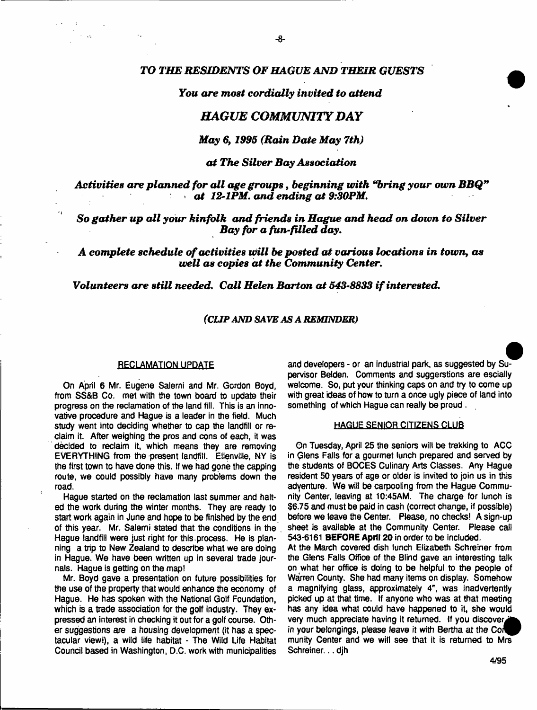# *TO THE RESIDENTS OF HAGUE AND THEIR GUESTS*

# *You are most cordially invited to attend*

# *HAGUE COMMUNITY DAY*

### *May 6,1995 (Rain Date May 7th)*

# *a t The Silver Bay Association*

Activities are planned for all age groups, beginning with "bring your own BBQ" *at 12-1PM, and ending at 9:30PM.* 

*So gather up all your kinfolk and friends in Hague and head on down to Silver Bay for a fun-filled day*.

A complete schedule of activities will be posted at various locations in town, as *well as copies at the Community Center.* 

*Volunteers are still needed. Call Helen Barton a t 543-8833 i f interested.*

# *(CUP AND SAVE AS A REMINDER)*

#### RECLAMATION UPDATE

On April 6 Mr. Eugene Salerni and Mr. Gordon Boyd, from SS&B Co. met with the town board to update their progress on the reclamation of the land fill. This is an innovative procedure and Hague is a leader in the field. Much study went into deciding whether to cap the landfill or reclaim it. After weighing the pros and cons of each, it was decided to reclaim it, which means they are removing EVERYTHING from the present landfill. Elienville, NY is the first town to have done this. If we had gone the capping route, we could possibly have many problems down the road.

Hague started on the reclamation last summer and halted the work during the winter months. They are ready to start work again in June and hope to be finished by the end. of this year, Mr. Salerni stated that the conditions in the Hague landfill were just right for this.process. He is planning a trip to New Zealand to describe what we are doing in Hague. We have been written up in several trade journals. Hague is getting on the map!

Mr. Boyd gave a presentation on future possibilities for the use of the property that would enhance the economy of Hague. He has spoken with the National Golf Foundation, which is a trade association for the golf industry. They expressed an interest in checking it out for a golf course. Other suggestions are a housing development (it has a spectacular view!), a wild life habitat - The Wild Life Habitat Council based in Washington, D.C. work with municipalities

and developers - or an industrial park, as suggested by Supervisor Belden. Comments and suggestions are escially welcome. So, put your thinking caps on and try to come up with great ideas of how to turn a once ugly piece of land into something of which Hague can really be proud .

#### **HAGUE SENIOR CITIZENS CLUB**

On Tuesday, April 25 the seniors will be trekking to ACC in Qlens Falls for a gourmet lunch prepared and served by the students of BOCES Culinary Arts Classes. Any Hague resident 50 years of age or older is invited to join us in this adventure. We will be carpooling from the Hague Community Center, leaving at 10:45AM. The charge for lunch is \$6.75 and must be paid in cash (correct change, if possible) before we leave the Center. Please, no checks! A sign-up sheet is available at the Community Center. Please caJi 543-6161 **BEFORE April 20** in order to be included.

At the March covered dish lunch Elizabeth Schreiner from the Glens Falls Office of the Blind gave an interesting talk on what her office is doing to be helpful to the people of Warren County. She had many items on display. Somehow a magnifying glass, approximately 4", was inadvertently picked up at that time. If anyone who was at that meeting has any idea what could have happened to it, she would very much appreciate having it returned. If you discover, in your belongings, please leave it with Bertha at the Con munity Center and we will see that it is returned to Mrs Schreiner...djh

4/95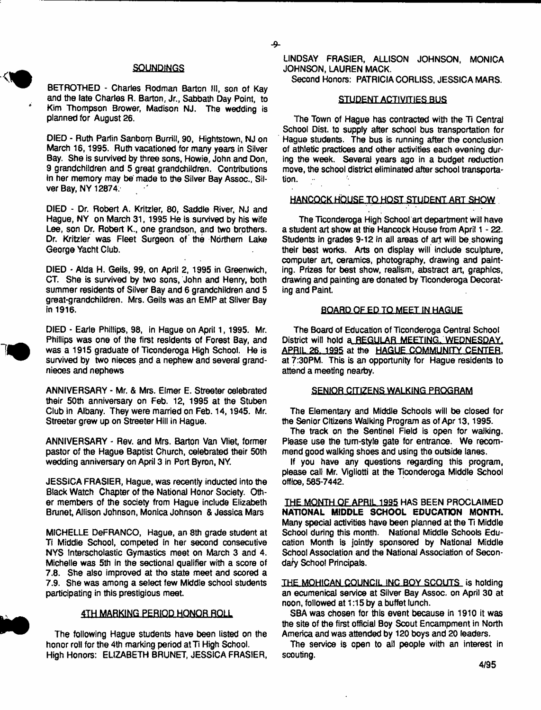# **SOUNDINGS**

ج

BETROTHED - Charles Rodman Barton III, son of Kay and the late Charles R. Barton, Jr., Sabbath Day Point, to Kim Thompson Brower, Madison NJ. The wedding is planned for August 26.

DIED - Ruth Parlin Sanborn Burrill, 90, Hightstown, NJ on March 16, 1995. Ruth vacationed for many years in Silver Bay. She is survived by three sons, Howie, John and Don, 9 grandchildren and 5 great grandchildren. Contributions in her memory may be made to the Silver Bay Assoc., Silver Bay, NY 12874.

DIED - Dr. Robert A. Kritzler, 80, Saddle River, NJ and Hague, NY on March 31, 1995 He is survived by his wife Lee, son Dr. Robert K., one grandson, and two brothers. Dr. Kritzler was Fleet Surgeon of the Northern Lake George Yacht Club.

DIED - Alda H. Geils, 99, on April 2, 1995 in Greenwich, CT. She is survived by two sons, John and Henry, both summer residents of Silver Bay and 6 grandchildren and 5 great-grandchildren. Mrs. Geils was an EMP at Silver Bay in 1916.

DIED - Earle Phillips, 98, in Hague on April 1, 1995. Mr. Phillips was one of the first residents of Forest Bay, and was a 1915 graduate of Ticonderoga High School. He is survived by two nieces and a nephew and several grandnieces and nephews

ANNIVERSARY - Mr. & Mrs. Elmer E. Streeter celebrated their 50th anniversary on Feb. 12, 1995 at the Stuben Club in Albany. They were married on Feb. 14,1945. Mr. Streeter grew up on Streeter Hill in Hague.

ANNIVERSARY - Rev. and Mrs. Barton Van Vliet, former pastor of the Hague Baptist Church, celebrated their 50th wedding anniversary on April 3 in Port Byron, NY.

JESSICA FRASIER, Hague, was recently inducted into the Black Watch Chapter of the National Honor Society. Other members of the society from Hague include Elizabeth Brunet, Allison Johnson, Monica Johnson & Jessica Mars

MICHELLE DeFRANCO, Hague, an 8th grade student at Ti Middle School, competed in her second consecutive NYS Interscholastic Gymastics meet on March 3 and 4. Michelle was 5th in the sectional qualifier with a score of 7.8. She also improved at the state meet and scored a 7.9. She was among a select few Middle school students participating in this prestigious meet.

# 4TH MARKING PERIOD HONOR ROLL

The following Hague students have been listed on the honor roll for the 4th marking period at Ti High School. High Honors: ELIZABETH BRUNET, JESSICA FRASIER, LINDSAY FRASIER, ALLISON JOHNSON, MONICA JOHNSON, LAUREN MACK.

Second Honors: PATRICIA CORLISS, JESSICA MARS.

# STUDENT ACTIVITIES BUS

The Town of Hague has contracted with the Ti Central School Dist. to supply after school bus transportation for Hague students. The bus is running after the conclusion of athletic practices and other activities each evening during the week. Several years ago in a budget reduction move, the school district eliminated after school transportation.

#### **HANCOCK HOUSE TQ HOST STUDENT ART SHOW**

The Ticonderoga High School art department will have a student art show at the Hancock House from April 1 - 22. Students in grades 9-12 in all areas of art will be showing their best works. Arts on display will include sculpture, computer art, ceramics, photography, drawing and painting. Prizes for best show, realism, abstract art, graphics, drawing and painting are donated by Ticonderoga Decorating and Paint.

#### BOARD OF ED TQ MEET IN HAGUE

The Board of Education of Ticonderoga Central School District will hold a REGULAR MEETING. WEDNESDAY. **APRIL 26. 1995** at the HAGUE COMMUNITY CENTER, at 7:30PM. This is an opportunity for Hague residents to attend a meeting nearby.

#### **SENIOR CITIZENS WALKING PROGRAM**

The Elementary and Middle Schools will be closed for the Senior Citizens Walking Program as of Apr 13, 1995.

The track on the Sentinel Field is open for walking. Please use the tum-style gate for entrance. We recommend good walking shoes and using the outside lanes.

If you have any questions regarding this program, please call Mr. Vigliotti at the Ticonderoga Middle School office, 585-7442.

THE MONTH OF APRIL 1995 HAS BEEN PROCLAIMED **NATIONAL HUDDLE SCHOOL EDUCATION MONTH.** Many special activities have been planned at the Ti Middle School during this month. National Middle Schools Education Month is jointly sponsored by National Middle School Association and the National Association of Secondary School Principals.

THE MOHICAN COUNCIL INC BOY SCOUTS is holding an ecumenical service at Silver Bay Assoc, on April 30 at noon, followed at 1:15 by a buffet lunch.

SBA was chosen for this event because in 1910 it was the site of the first official Boy Scout Encampment in North America and was attended by 120 boys and 20 leaders.

The service is open to ail people with an interest in scouting.